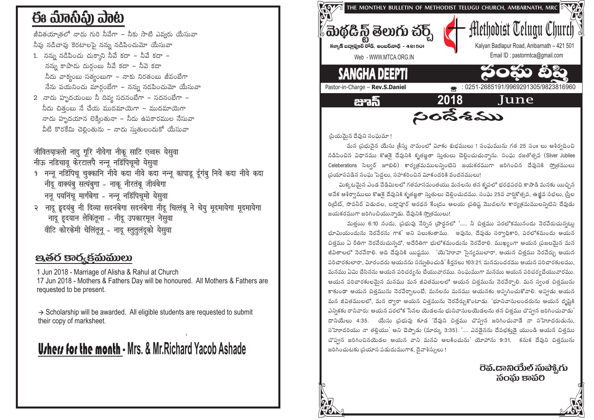# ఈ ಮಾನಿವಿ) ವಾಟ

జీవితయా౹తలో నాదు గురి నీవేగా – నీకు సాటి ఎవ్వరు యేసువా

- నీవు నడిచావు కెరటాలపె నన్ను నడిపించుమో యేసువా
- 1. నన్ను నడిపించు చుక్కాని నీవే కదా నీవే కదా నన్ను కాపాడు దుర్గంబు నీవే కదా – నీవె కదా నీదు వాక్వంబు సత్వంబుగా – నాకు నిరతంబు జీవంబేగా నేను పయనించు మార్గంబేగా – నన్ను నడపించుమో యేసువా
- 2 నాదు హృదయంబు నీ దివ్వ సదనంబేగా సదనంబేగా నీదు చిత్రంబు నే చేయ ముదమాయెగా – ముదమాయెగా నాదు హృదయాన లెక్మింతునా – నీదు ఉపకారముల నేసువా వీటి కొరకేమి చెలింతును – నాదు సుతులందుకో యేసువా

### जीवितयात्रलो नादु गूरि नीवेगा नीकू साटि एव्वरू येसुवा नीऊ नडिचावू केरटालपै नन्नू नडिंपिचूमो येसुवा

- 9 नन्नू नडिंपिचू चुक्कानि नीवे कदा नीवे कदा नन्नू कापाडू र्दूगंबू निवे कदा नीवे कदा नीदू वाक्यंबू सत्यंबुगा - नाकू नीरतंबू जीवंबेगा ननू पयनिंचू मार्गबेगा - नन्नू नडिंपिचूमो येसुवा
- २ नादू ढूदयंबु नी दिव्या सदनंबेगा सदनंबेगा नीदू चित्तंबू ने चेयु मूदमायेगा मूदमायेगा नादू हृदयान लेकिंतूना - नीदू उपकारमूल नेसुवा वीटि कोरकेमी चेलिंतूनू - नादू स्तूतूलंदूको येसूवा

## පුණිර් පැරි ජිකාකාගා

1 Jun 2018 - Marriage of Alisha & Rahul at Church 17 Jun 2018 - Mothers & Fathers Day will be honoured. All Mothers & Fathers are requested to be present.

 $\rightarrow$  Scholarship will be awarded. All eligible students are requested to submit their copy of marksheet.

# **Urhers for the month - Mrs. & Mr. Richard Yacob Ashade**



(పియమైన దేవుని సంఘమా !

మన (పభువెన యేసు (కీసు నామంలో విూకు శుభములు ! సంఘమును గత 25 సం။ లు ఆశీర్వదించి నడిపించిన విధానము కొఱకై దేవునికి కృతజ్ఞతా సుతులు చెల్లించుచున్నాను. సంఘ రజతోత్సవ (Silver Jubilee Celeberations సిల్వర్ జూబిలి) కార్యక్రమములన్నింటిని జయకరముగా జరిగించిన దేవునికి స్మోతములు (పయాసపడిన సంఘై పెద్దలు, సహకరించిన విూకందరికి వందనములు!

మిక్కటమైన ఎండ వేడిమిలలో గతమాసమంతయు మనలను తన కృపలో భరధపరచి కాపాడి మనకు యిచ్చిన అనేక ఆశీర్వాములు కొఱకై దేవునికి కృతజ్ఞతా స్తుతులు చెల్లించుదము. సంఘ 25వ వారికోత్సవ, ఉజ్జీవ సభలు, స్త్రీల రిటీట్, సొవనీర్ విడుదల, బద్షాపూర్ ఆరధన కేంద్రం ఆలయ (పతిష్ట మొదలగు కార్యక్రమములని)టిని దేవుడు జయకరముగా జరిగించియున్నాడు. దేవునికి స్మోతములు!

మత్తయి 6:10 నందు, ప్రభువు నేర్చిన (పార్గనలో '..... నీ చిత్తము పరలోకమునందు నెరవేరుచున్నట్లు భూమియందును నెరవేరను గాక' అని పలుకుతాము. అవును, దేవుడు సర్వాధికారి, పరలోకమందు ఆయన చిత్రము ఏ రీతిగా నెరవేరుచున్నదో, అదేరీతిగా భులోకమందును నెరవేరాలి. ముఖ్యంగా ఆయన (పజలమైన మన జీవితాలలో నెరవేరాలి. అది దేవునికి యిష్టము. 'యెహెూవా సైన్యములారా, ఆయన చిత్తము నెరవేర్పు ఆయన పరిచారకులారా, మిారందరు ఆయనను సన్నుతించుడి' కీర్తనలు 103:21. మనమందరము ఆయన పరిచారకులము, మనము ఏమి చేసినను ఆయన పరిచర్యను చేయువారము. సంఘముగా మనము ఆయన పరిచర్యచేయువారము. ఆయన పరిచారకులమైన మనము మన జీవితములలో ఆయన చిత్తమును నెరవేర్పాలి. మన స్వంత చిత్తమును కాకుండా ఆయన చిత్తమును నెరవేర్చాలంటే, మనలను మనము ఆయనకు అప్పగించుకోవాలి. అప్పడు ఆయన మన జీవితములలో, మన ద్వారా ఆయన చిత్రమును నెరవేర్చుకొంటాడు. 'భూనివాసులందరును ఆయన దృష్టికి ఎన్నికకు రానివారు: ఆయన పరలోక సేనల యెడలను భునివాసులయెడలను తన చిత్తము చొప్పన జరిగించువాడు' దానియేలు 4:35. యేసు ప్రభువు కూడ 'దేవుని చిత్తము చొప్పన జరిగించువాడే నా సహెూదరుడును, సహెూదరియు నా తల్లియు' అని చెప్పాడు (మార్కు 3:35). '.... ఎవడైనను దేవభక్తుడై యుండి ఆయన చిత్తము చొప్పన జరిగించినయెడల ఆయన వాని మనవి ఆలకించును' యోహాను 9:31. కనుక దేవుని చిత్తమును జరిగించుటకు (పయాస పడుదుముగాక, దైవాశీస్సులు !

> సంఘ కావరి